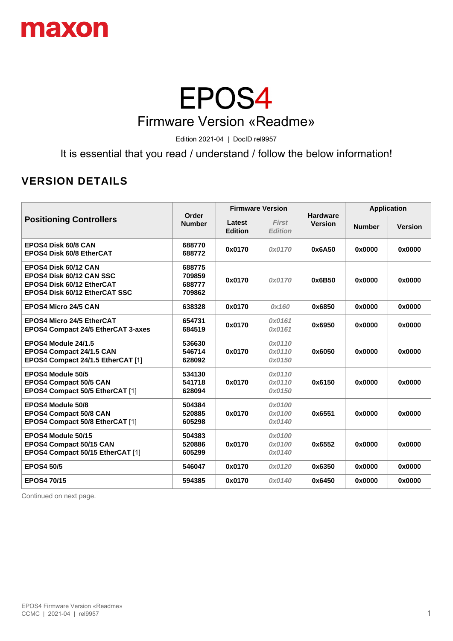

#### EPOS4 Firmware Version «Readme»

Edition 2021-04 | DocID rel9957

It is essential that you read / understand / follow the below information!

#### **VERSION DETAILS**

| <b>Positioning Controllers</b>                                                                                        | Order<br><b>Number</b>               | <b>Firmware Version</b>  |                                | <b>Hardware</b> | <b>Application</b> |                |
|-----------------------------------------------------------------------------------------------------------------------|--------------------------------------|--------------------------|--------------------------------|-----------------|--------------------|----------------|
|                                                                                                                       |                                      | Latest<br><b>Edition</b> | <b>First</b><br><b>Edition</b> | <b>Version</b>  | <b>Number</b>      | <b>Version</b> |
| <b>EPOS4 Disk 60/8 CAN</b><br><b>EPOS4 Disk 60/8 EtherCAT</b>                                                         | 688770<br>688772                     | 0x0170                   | 0x0170                         | 0x6A50          | 0x0000             | 0x0000         |
| EPOS4 Disk 60/12 CAN<br><b>EPOS4 Disk 60/12 CAN SSC</b><br>EPOS4 Disk 60/12 EtherCAT<br>EPOS4 Disk 60/12 EtherCAT SSC | 688775<br>709859<br>688777<br>709862 | 0x0170                   | 0x0170                         | 0x6B50          | 0x0000             | 0x0000         |
| <b>EPOS4 Micro 24/5 CAN</b>                                                                                           | 638328                               | 0x0170                   | 0x160                          | 0x6850          | 0x0000             | 0x0000         |
| <b>EPOS4 Micro 24/5 EtherCAT</b><br><b>EPOS4 Compact 24/5 EtherCAT 3-axes</b>                                         | 654731<br>684519                     | 0x0170                   | 0x0161<br>0x0161               | 0x6950          | 0x0000             | 0x0000         |
| EPOS4 Module 24/1.5<br>EPOS4 Compact 24/1.5 CAN<br>EPOS4 Compact 24/1.5 EtherCAT [1]                                  | 536630<br>546714<br>628092           | 0x0170                   | 0x0110<br>0x0110<br>0x0150     | 0x6050          | 0x0000             | 0x0000         |
| <b>EPOS4 Module 50/5</b><br><b>EPOS4 Compact 50/5 CAN</b><br>EPOS4 Compact 50/5 EtherCAT [1]                          | 534130<br>541718<br>628094           | 0x0170                   | 0x0110<br>0x0110<br>0x0150     | 0x6150          | 0x0000             | 0x0000         |
| <b>EPOS4 Module 50/8</b><br><b>EPOS4 Compact 50/8 CAN</b><br>EPOS4 Compact 50/8 EtherCAT [1]                          | 504384<br>520885<br>605298           | 0x0170                   | 0x0100<br>0x0100<br>0x0140     | 0x6551          | 0x0000             | 0x0000         |
| EPOS4 Module 50/15<br>EPOS4 Compact 50/15 CAN<br>EPOS4 Compact 50/15 EtherCAT [1]                                     | 504383<br>520886<br>605299           | 0x0170                   | 0x0100<br>0x0100<br>0x0140     | 0x6552          | 0x0000             | 0x0000         |
| <b>EPOS4 50/5</b>                                                                                                     | 546047                               | 0x0170                   | 0x0120                         | 0x6350          | 0x0000             | 0x0000         |
| <b>EPOS4 70/15</b>                                                                                                    | 594385                               | 0x0170                   | 0x0140                         | 0x6450          | 0x0000             | 0x0000         |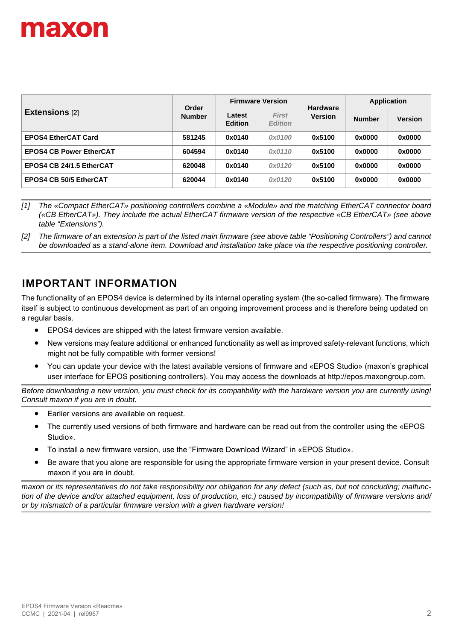

|                                | Order<br><b>Number</b> | <b>Firmware Version</b>  |                                | <b>Hardware</b> | <b>Application</b> |                |
|--------------------------------|------------------------|--------------------------|--------------------------------|-----------------|--------------------|----------------|
| <b>Extensions [2]</b>          |                        | Latest<br><b>Edition</b> | <b>First</b><br><b>Edition</b> | <b>Version</b>  | <b>Number</b>      | <b>Version</b> |
| <b>EPOS4 EtherCAT Card</b>     | 581245                 | 0x0140                   | 0x0100                         | 0x5100          | 0x0000             | 0x0000         |
| <b>EPOS4 CB Power EtherCAT</b> | 604594                 | 0x0140                   | 0x0110                         | 0x5100          | 0x0000             | 0x0000         |
| EPOS4 CB 24/1.5 EtherCAT       | 620048                 | 0x0140                   | 0x0120                         | 0x5100          | 0x0000             | 0x0000         |
| <b>EPOS4 CB 50/5 EtherCAT</b>  | 620044                 | 0x0140                   | 0x0120                         | 0x5100          | 0x0000             | 0x0000         |

*[1] The «Compact EtherCAT» positioning controllers combine a «Module» and the matching EtherCAT connector board («CB EtherCAT»). They include the actual EtherCAT firmware version of the respective «CB EtherCAT» (see above table "Extensions").*

*[2] The firmware of an extension is part of the listed main firmware (see above table "Positioning Controllers") and cannot be downloaded as a stand-alone item. Download and installation take place via the respective positioning controller.*

#### **IMPORTANT INFORMATION**

The functionality of an EPOS4 device is determined by its internal operating system (the so-called firmware). The firmware itself is subject to continuous development as part of an ongoing improvement process and is therefore being updated on a regular basis.

- EPOS4 devices are shipped with the latest firmware version available.
- New versions may feature additional or enhanced functionality as well as improved safety-relevant functions, which might not be fully compatible with former versions!
- [You can update your device with the latest available versions of firmware and «EPOS Studio» \(maxon's graphical](http://epos.maxongroup.com/)  user interface for EPOS positioning controllers). You may access the downloads at http://epos.maxongroup.com.

*Before downloading a new version, you must check for its compatibility with the hardware version you are currently using! Consult maxon if you are in doubt.*

- Earlier versions are available on request.
- The currently used versions of both firmware and hardware can be read out from the controller using the «EPOS Studio».
- To install a new firmware version, use the "Firmware Download Wizard" in «EPOS Studio».
- Be aware that you alone are responsible for using the appropriate firmware version in your present device. Consult maxon if you are in doubt.

*maxon or its representatives do not take responsibility nor obligation for any defect (such as, but not concluding; malfunction of the device and/or attached equipment, loss of production, etc.) caused by incompatibility of firmware versions and/ or by mismatch of a particular firmware version with a given hardware version!*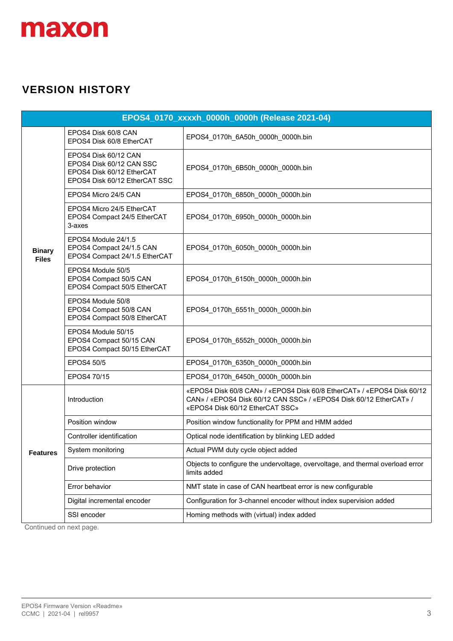

#### **VERSION HISTORY**

| EPOS4_0170_xxxxh_0000h_0000h (Release 2021-04) |                                                                                                                |                                                                                                                                                                                |
|------------------------------------------------|----------------------------------------------------------------------------------------------------------------|--------------------------------------------------------------------------------------------------------------------------------------------------------------------------------|
|                                                | EPOS4 Disk 60/8 CAN<br>EPOS4 Disk 60/8 EtherCAT                                                                | EPOS4_0170h_6A50h_0000h_0000h.bin                                                                                                                                              |
|                                                | EPOS4 Disk 60/12 CAN<br>EPOS4 Disk 60/12 CAN SSC<br>EPOS4 Disk 60/12 EtherCAT<br>EPOS4 Disk 60/12 EtherCAT SSC | EPOS4_0170h_6B50h_0000h_0000h.bin                                                                                                                                              |
|                                                | EPOS4 Micro 24/5 CAN                                                                                           | EPOS4_0170h_6850h_0000h_0000h.bin                                                                                                                                              |
|                                                | EPOS4 Micro 24/5 EtherCAT<br>EPOS4 Compact 24/5 EtherCAT<br>3-axes                                             | EPOS4_0170h_6950h_0000h_0000h.bin                                                                                                                                              |
| <b>Binary</b><br><b>Files</b>                  | EPOS4 Module 24/1.5<br>EPOS4 Compact 24/1.5 CAN<br>EPOS4 Compact 24/1.5 EtherCAT                               | EPOS4_0170h_6050h_0000h_0000h.bin                                                                                                                                              |
|                                                | EPOS4 Module 50/5<br>EPOS4 Compact 50/5 CAN<br>EPOS4 Compact 50/5 EtherCAT                                     | EPOS4_0170h_6150h_0000h_0000h.bin                                                                                                                                              |
|                                                | EPOS4 Module 50/8<br>EPOS4 Compact 50/8 CAN<br>EPOS4 Compact 50/8 EtherCAT                                     | EPOS4_0170h_6551h_0000h_0000h.bin                                                                                                                                              |
|                                                | EPOS4 Module 50/15<br>EPOS4 Compact 50/15 CAN<br>EPOS4 Compact 50/15 EtherCAT                                  | EPOS4_0170h_6552h_0000h_0000h.bin                                                                                                                                              |
|                                                | EPOS4 50/5                                                                                                     | EPOS4_0170h_6350h_0000h_0000h.bin                                                                                                                                              |
|                                                | EPOS4 70/15                                                                                                    | EPOS4 0170h 6450h 0000h 0000h.bin                                                                                                                                              |
|                                                | Introduction                                                                                                   | «EPOS4 Disk 60/8 CAN» / «EPOS4 Disk 60/8 EtherCAT» / «EPOS4 Disk 60/12<br>CAN» / «EPOS4 Disk 60/12 CAN SSC» / «EPOS4 Disk 60/12 EtherCAT» /<br>«EPOS4 Disk 60/12 EtherCAT SSC» |
|                                                | Position window                                                                                                | Position window functionality for PPM and HMM added                                                                                                                            |
|                                                | Controller identification                                                                                      | Optical node identification by blinking LED added                                                                                                                              |
| <b>Features</b>                                | System monitoring                                                                                              | Actual PWM duty cycle object added                                                                                                                                             |
|                                                | Drive protection                                                                                               | Objects to configure the undervoltage, overvoltage, and thermal overload error<br>limits added                                                                                 |
|                                                | Error behavior                                                                                                 | NMT state in case of CAN heartbeat error is new configurable                                                                                                                   |
|                                                | Digital incremental encoder                                                                                    | Configuration for 3-channel encoder without index supervision added                                                                                                            |
|                                                | SSI encoder                                                                                                    | Homing methods with (virtual) index added                                                                                                                                      |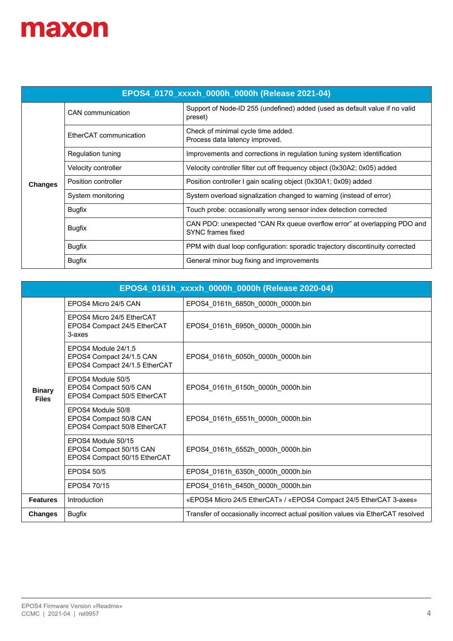| EPOS4_0170_xxxxh_0000h_0000h (Release 2021-04) |                          |                                                                                                      |  |
|------------------------------------------------|--------------------------|------------------------------------------------------------------------------------------------------|--|
|                                                | CAN communication        | Support of Node-ID 255 (undefined) added (used as default value if no valid<br>preset)               |  |
|                                                | EtherCAT communication   | Check of minimal cycle time added.<br>Process data latency improved.                                 |  |
|                                                | <b>Regulation tuning</b> | Improvements and corrections in regulation tuning system identification                              |  |
|                                                | Velocity controller      | Velocity controller filter cut off frequency object (0x30A2; 0x05) added                             |  |
| <b>Changes</b>                                 | Position controller      | Position controller I gain scaling object (0x30A1; 0x09) added                                       |  |
|                                                | System monitoring        | System overload signalization changed to warning (instead of error)                                  |  |
|                                                | <b>Bugfix</b>            | Touch probe: occasionally wrong sensor index detection corrected                                     |  |
|                                                | <b>Bugfix</b>            | CAN PDO: unexpected "CAN Rx queue overflow error" at overlapping PDO and<br><b>SYNC</b> frames fixed |  |
|                                                | <b>Bugfix</b>            | PPM with dual loop configuration: sporadic trajectory discontinuity corrected                        |  |
|                                                | <b>Bugfix</b>            | General minor bug fixing and improvements                                                            |  |

| EPOS4_0161h_xxxxh_0000h_0000h (Release 2020-04) |                                                                                  |                                                                                 |  |
|-------------------------------------------------|----------------------------------------------------------------------------------|---------------------------------------------------------------------------------|--|
|                                                 | EPOS4 Micro 24/5 CAN                                                             | EPOS4 0161h 6850h 0000h 0000h.bin                                               |  |
|                                                 | FPOS4 Micro 24/5 FtherCAT<br>EPOS4 Compact 24/5 EtherCAT<br>3-axes               | EPOS4_0161h_6950h_0000h_0000h.bin                                               |  |
|                                                 | EPOS4 Module 24/1.5<br>EPOS4 Compact 24/1.5 CAN<br>EPOS4 Compact 24/1.5 EtherCAT | EPOS4 0161h 6050h 0000h 0000h.bin                                               |  |
| <b>Binary</b><br><b>Files</b>                   | EPOS4 Module 50/5<br>EPOS4 Compact 50/5 CAN<br>EPOS4 Compact 50/5 EtherCAT       | EPOS4_0161h_6150h_0000h_0000h.bin                                               |  |
|                                                 | EPOS4 Module 50/8<br>EPOS4 Compact 50/8 CAN<br>EPOS4 Compact 50/8 EtherCAT       | EPOS4 0161h 6551h 0000h 0000h.bin                                               |  |
|                                                 | EPOS4 Module 50/15<br>EPOS4 Compact 50/15 CAN<br>EPOS4 Compact 50/15 EtherCAT    | EPOS4_0161h_6552h_0000h_0000h.bin                                               |  |
|                                                 | EPOS4 50/5                                                                       | EPOS4 0161h 6350h 0000h 0000h.bin                                               |  |
|                                                 | EPOS4 70/15                                                                      | EPOS4 0161h 6450h 0000h 0000h.bin                                               |  |
| <b>Features</b>                                 | Introduction                                                                     | «EPOS4 Micro 24/5 EtherCAT» / «EPOS4 Compact 24/5 EtherCAT 3-axes»              |  |
| <b>Changes</b>                                  | <b>Bugfix</b>                                                                    | Transfer of occasionally incorrect actual position values via EtherCAT resolved |  |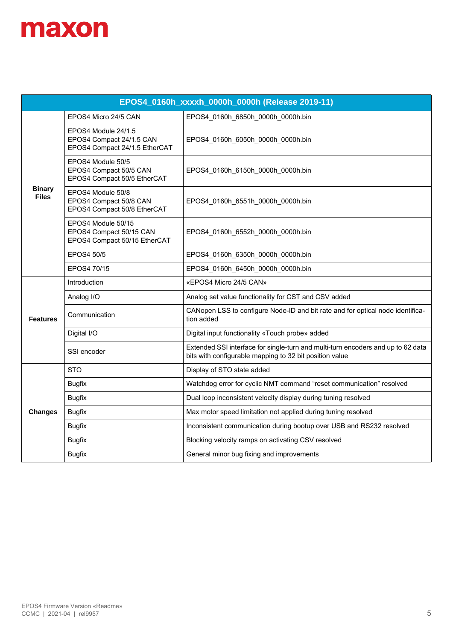| EPOS4_0160h_xxxxh_0000h_0000h (Release 2019-11) |                                                                                  |                                                                                                                                             |
|-------------------------------------------------|----------------------------------------------------------------------------------|---------------------------------------------------------------------------------------------------------------------------------------------|
|                                                 | EPOS4 Micro 24/5 CAN                                                             | EPOS4 0160h 6850h 0000h 0000h.bin                                                                                                           |
|                                                 | EPOS4 Module 24/1.5<br>EPOS4 Compact 24/1.5 CAN<br>EPOS4 Compact 24/1.5 EtherCAT | EPOS4_0160h_6050h_0000h_0000h.bin                                                                                                           |
|                                                 | EPOS4 Module 50/5<br>EPOS4 Compact 50/5 CAN<br>EPOS4 Compact 50/5 EtherCAT       | EPOS4_0160h_6150h_0000h_0000h.bin                                                                                                           |
| <b>Binary</b><br><b>Files</b>                   | EPOS4 Module 50/8<br>EPOS4 Compact 50/8 CAN<br>EPOS4 Compact 50/8 EtherCAT       | EPOS4_0160h_6551h_0000h_0000h.bin                                                                                                           |
|                                                 | EPOS4 Module 50/15<br>EPOS4 Compact 50/15 CAN<br>EPOS4 Compact 50/15 EtherCAT    | EPOS4 0160h 6552h 0000h 0000h.bin                                                                                                           |
|                                                 | EPOS4 50/5                                                                       | EPOS4_0160h_6350h_0000h_0000h.bin                                                                                                           |
|                                                 | EPOS4 70/15                                                                      | EPOS4_0160h_6450h_0000h_0000h.bin                                                                                                           |
|                                                 | Introduction                                                                     | «EPOS4 Micro 24/5 CAN»                                                                                                                      |
|                                                 | Analog I/O                                                                       | Analog set value functionality for CST and CSV added                                                                                        |
| <b>Features</b>                                 | Communication                                                                    | CANopen LSS to configure Node-ID and bit rate and for optical node identifica-<br>tion added                                                |
|                                                 | Digital I/O                                                                      | Digital input functionality «Touch probe» added                                                                                             |
|                                                 | SSI encoder                                                                      | Extended SSI interface for single-turn and multi-turn encoders and up to 62 data<br>bits with configurable mapping to 32 bit position value |
|                                                 | <b>STO</b>                                                                       | Display of STO state added                                                                                                                  |
|                                                 | <b>Bugfix</b>                                                                    | Watchdog error for cyclic NMT command "reset communication" resolved                                                                        |
|                                                 | <b>Bugfix</b>                                                                    | Dual loop inconsistent velocity display during tuning resolved                                                                              |
| <b>Changes</b>                                  | <b>Bugfix</b>                                                                    | Max motor speed limitation not applied during tuning resolved                                                                               |
|                                                 | <b>Bugfix</b>                                                                    | Inconsistent communication during bootup over USB and RS232 resolved                                                                        |
|                                                 | <b>Bugfix</b>                                                                    | Blocking velocity ramps on activating CSV resolved                                                                                          |
|                                                 | <b>Bugfix</b>                                                                    | General minor bug fixing and improvements                                                                                                   |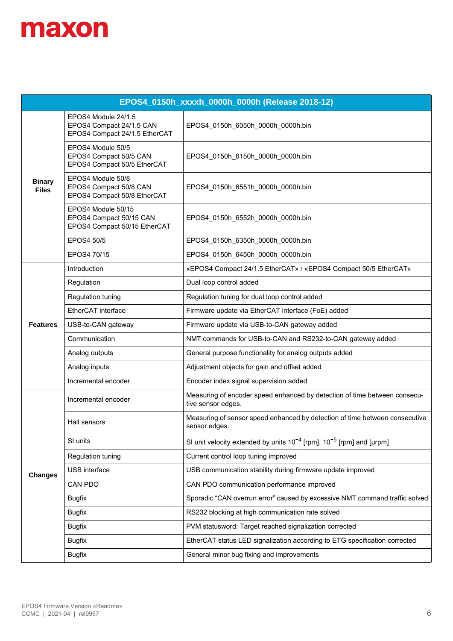| EPOS4_0150h_xxxxh_0000h_0000h (Release 2018-12) |                                                                                  |                                                                                                 |  |
|-------------------------------------------------|----------------------------------------------------------------------------------|-------------------------------------------------------------------------------------------------|--|
|                                                 | EPOS4 Module 24/1.5<br>EPOS4 Compact 24/1.5 CAN<br>EPOS4 Compact 24/1.5 EtherCAT | EPOS4_0150h_6050h_0000h_0000h.bin                                                               |  |
|                                                 | EPOS4 Module 50/5<br>EPOS4 Compact 50/5 CAN<br>EPOS4 Compact 50/5 EtherCAT       | EPOS4_0150h_6150h_0000h_0000h.bin                                                               |  |
| <b>Binary</b><br><b>Files</b>                   | EPOS4 Module 50/8<br>EPOS4 Compact 50/8 CAN<br>EPOS4 Compact 50/8 EtherCAT       | EPOS4_0150h_6551h_0000h_0000h.bin                                                               |  |
|                                                 | EPOS4 Module 50/15<br>EPOS4 Compact 50/15 CAN<br>EPOS4 Compact 50/15 EtherCAT    | EPOS4_0150h_6552h_0000h_0000h.bin                                                               |  |
|                                                 | EPOS4 50/5                                                                       | EPOS4_0150h_6350h_0000h_0000h.bin                                                               |  |
|                                                 | EPOS4 70/15                                                                      | EPOS4 0150h 6450h 0000h 0000h.bin                                                               |  |
| <b>Features</b>                                 | Introduction                                                                     | «EPOS4 Compact 24/1.5 EtherCAT» / «EPOS4 Compact 50/5 EtherCAT»                                 |  |
|                                                 | Regulation                                                                       | Dual loop control added                                                                         |  |
|                                                 | Regulation tuning                                                                | Regulation tuning for dual loop control added                                                   |  |
|                                                 | EtherCAT interface                                                               | Firmware update via EtherCAT interface (FoE) added                                              |  |
|                                                 | USB-to-CAN gateway                                                               | Firmware update via USB-to-CAN gateway added                                                    |  |
|                                                 | Communication                                                                    | NMT commands for USB-to-CAN and RS232-to-CAN gateway added                                      |  |
|                                                 | Analog outputs                                                                   | General purpose functionality for analog outputs added                                          |  |
|                                                 | Analog inputs                                                                    | Adjustment objects for gain and offset added                                                    |  |
|                                                 | Incremental encoder                                                              | Encoder index signal supervision added                                                          |  |
|                                                 | Incremental encoder                                                              | Measuring of encoder speed enhanced by detection of time between consecu-<br>tive sensor edges. |  |
|                                                 | Hall sensors                                                                     | Measuring of sensor speed enhanced by detection of time between consecutive<br>sensor edges.    |  |
|                                                 | SI units                                                                         | SI unit velocity extended by units $10^{-4}$ [rpm], $10^{-5}$ [rpm] and [µrpm]                  |  |
|                                                 | Regulation tuning                                                                | Current control loop tuning improved                                                            |  |
| <b>Changes</b>                                  | USB interface                                                                    | USB communication stability during firmware update improved                                     |  |
|                                                 | CAN PDO                                                                          | CAN PDO communication performance improved                                                      |  |
|                                                 | <b>Bugfix</b>                                                                    | Sporadic "CAN overrun error" caused by excessive NMT command traffic solved                     |  |
|                                                 | <b>Bugfix</b>                                                                    | RS232 blocking at high communication rate solved                                                |  |
|                                                 | <b>Bugfix</b>                                                                    | PVM statusword: Target reached signalization corrected                                          |  |
|                                                 | <b>Bugfix</b>                                                                    | EtherCAT status LED signalization according to ETG specification corrected                      |  |
|                                                 | <b>Bugfix</b>                                                                    | General minor bug fixing and improvements                                                       |  |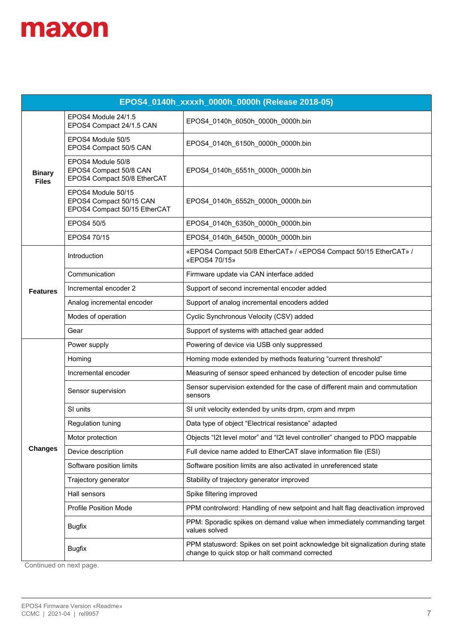| EPOS4_0140h_xxxxh_0000h_0000h (Release 2018-05) |                                                                               |                                                                                                                                  |
|-------------------------------------------------|-------------------------------------------------------------------------------|----------------------------------------------------------------------------------------------------------------------------------|
|                                                 | EPOS4 Module 24/1.5<br>EPOS4 Compact 24/1.5 CAN                               | EPOS4_0140h_6050h_0000h_0000h.bin                                                                                                |
| <b>Binary</b><br><b>Files</b>                   | EPOS4 Module 50/5<br>EPOS4 Compact 50/5 CAN                                   | EPOS4_0140h_6150h_0000h_0000h.bin                                                                                                |
|                                                 | EPOS4 Module 50/8<br>EPOS4 Compact 50/8 CAN<br>EPOS4 Compact 50/8 EtherCAT    | EPOS4_0140h_6551h_0000h_0000h.bin                                                                                                |
|                                                 | EPOS4 Module 50/15<br>EPOS4 Compact 50/15 CAN<br>EPOS4 Compact 50/15 EtherCAT | EPOS4_0140h_6552h_0000h_0000h.bin                                                                                                |
|                                                 | EPOS4 50/5                                                                    | EPOS4_0140h_6350h_0000h_0000h.bin                                                                                                |
|                                                 | EPOS4 70/15                                                                   | EPOS4_0140h_6450h_0000h_0000h.bin                                                                                                |
| <b>Features</b>                                 | Introduction                                                                  | «EPOS4 Compact 50/8 EtherCAT» / «EPOS4 Compact 50/15 EtherCAT» /<br>«EPOS4 70/15»                                                |
|                                                 | Communication                                                                 | Firmware update via CAN interface added                                                                                          |
|                                                 | Incremental encoder 2                                                         | Support of second incremental encoder added                                                                                      |
|                                                 | Analog incremental encoder                                                    | Support of analog incremental encoders added                                                                                     |
|                                                 | Modes of operation                                                            | Cyclic Synchronous Velocity (CSV) added                                                                                          |
|                                                 | Gear                                                                          | Support of systems with attached gear added                                                                                      |
|                                                 | Power supply                                                                  | Powering of device via USB only suppressed                                                                                       |
|                                                 | Homing                                                                        | Homing mode extended by methods featuring "current threshold"                                                                    |
|                                                 | Incremental encoder                                                           | Measuring of sensor speed enhanced by detection of encoder pulse time                                                            |
|                                                 | Sensor supervision                                                            | Sensor supervision extended for the case of different main and commutation<br>sensors                                            |
|                                                 | SI units                                                                      | SI unit velocity extended by units drpm, crpm and mrpm                                                                           |
|                                                 | Regulation tuning                                                             | Data type of object "Electrical resistance" adapted                                                                              |
|                                                 | Motor protection                                                              | Objects "I2t level motor" and "I2t level controller" changed to PDO mappable                                                     |
| <b>Changes</b>                                  | Device description                                                            | Full device name added to EtherCAT slave information file (ESI)                                                                  |
|                                                 | Software position limits                                                      | Software position limits are also activated in unreferenced state                                                                |
|                                                 | Trajectory generator                                                          | Stability of trajectory generator improved                                                                                       |
|                                                 | Hall sensors                                                                  | Spike filtering improved                                                                                                         |
|                                                 | <b>Profile Position Mode</b>                                                  | PPM controlword: Handling of new setpoint and halt flag deactivation improved                                                    |
|                                                 | <b>Bugfix</b>                                                                 | PPM: Sporadic spikes on demand value when immediately commanding target<br>values solved                                         |
|                                                 | <b>Bugfix</b>                                                                 | PPM statusword: Spikes on set point acknowledge bit signalization during state<br>change to quick stop or halt command corrected |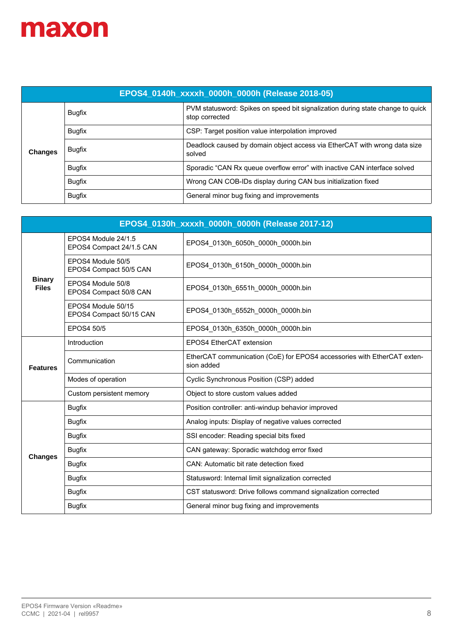| EPOS4_0140h_xxxxh_0000h_0000h (Release 2018-05) |               |                                                                                                  |  |
|-------------------------------------------------|---------------|--------------------------------------------------------------------------------------------------|--|
| <b>Changes</b>                                  | <b>Bugfix</b> | PVM statusword: Spikes on speed bit signalization during state change to quick<br>stop corrected |  |
|                                                 | <b>Bugfix</b> | CSP: Target position value interpolation improved                                                |  |
|                                                 | Bugfix        | Deadlock caused by domain object access via EtherCAT with wrong data size<br>solved              |  |
|                                                 | <b>Bugfix</b> | Sporadic "CAN Rx queue overflow error" with inactive CAN interface solved                        |  |
|                                                 | <b>Bugfix</b> | Wrong CAN COB-IDs display during CAN bus initialization fixed                                    |  |
|                                                 | <b>Bugfix</b> | General minor bug fixing and improvements                                                        |  |

| EPOS4_0130h_xxxxh_0000h_0000h (Release 2017-12) |                                                 |                                                                                       |  |
|-------------------------------------------------|-------------------------------------------------|---------------------------------------------------------------------------------------|--|
|                                                 | EPOS4 Module 24/1.5<br>EPOS4 Compact 24/1.5 CAN | EPOS4 0130h 6050h 0000h 0000h.bin                                                     |  |
|                                                 | EPOS4 Module 50/5<br>EPOS4 Compact 50/5 CAN     | EPOS4 0130h 6150h 0000h 0000h.bin                                                     |  |
| <b>Binary</b><br><b>Files</b>                   | EPOS4 Module 50/8<br>EPOS4 Compact 50/8 CAN     | EPOS4 0130h 6551h 0000h 0000h.bin                                                     |  |
|                                                 | EPOS4 Module 50/15<br>EPOS4 Compact 50/15 CAN   | EPOS4 0130h 6552h 0000h 0000h.bin                                                     |  |
|                                                 | <b>EPOS4 50/5</b>                               | EPOS4 0130h 6350h 0000h 0000h.bin                                                     |  |
|                                                 | Introduction                                    | EPOS4 EtherCAT extension                                                              |  |
| <b>Features</b>                                 | Communication                                   | EtherCAT communication (CoE) for EPOS4 accessories with EtherCAT exten-<br>sion added |  |
|                                                 | Modes of operation                              | Cyclic Synchronous Position (CSP) added                                               |  |
|                                                 | Custom persistent memory                        | Object to store custom values added                                                   |  |
|                                                 | <b>Bugfix</b>                                   | Position controller: anti-windup behavior improved                                    |  |
|                                                 | <b>Bugfix</b>                                   | Analog inputs: Display of negative values corrected                                   |  |
|                                                 | <b>Bugfix</b>                                   | SSI encoder: Reading special bits fixed                                               |  |
| <b>Changes</b>                                  | <b>Bugfix</b>                                   | CAN gateway: Sporadic watchdog error fixed                                            |  |
|                                                 | <b>Bugfix</b>                                   | CAN: Automatic bit rate detection fixed                                               |  |
|                                                 | <b>Bugfix</b>                                   | Statusword: Internal limit signalization corrected                                    |  |
|                                                 | <b>Bugfix</b>                                   | CST statusword: Drive follows command signalization corrected                         |  |
|                                                 | <b>Bugfix</b>                                   | General minor bug fixing and improvements                                             |  |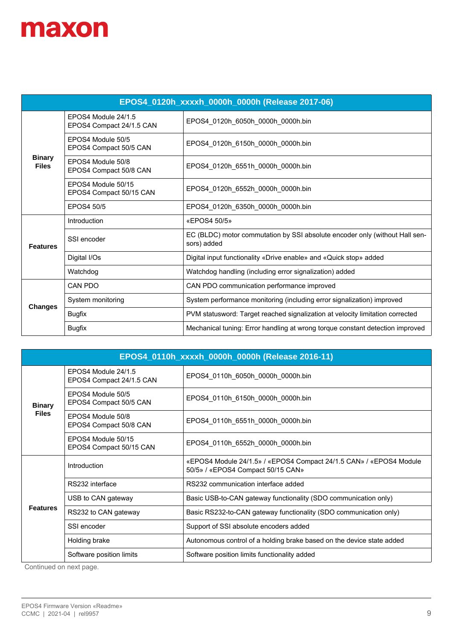| EPOS4_0120h_xxxxh_0000h_0000h (Release 2017-06) |                                                 |                                                                                            |  |
|-------------------------------------------------|-------------------------------------------------|--------------------------------------------------------------------------------------------|--|
|                                                 | EPOS4 Module 24/1.5<br>EPOS4 Compact 24/1.5 CAN | EPOS4_0120h_6050h_0000h_0000h.bin                                                          |  |
|                                                 | EPOS4 Module 50/5<br>EPOS4 Compact 50/5 CAN     | EPOS4 0120h 6150h 0000h 0000h.bin                                                          |  |
| <b>Binary</b><br><b>Files</b>                   | EPOS4 Module 50/8<br>EPOS4 Compact 50/8 CAN     | EPOS4 0120h 6551h 0000h 0000h.bin                                                          |  |
|                                                 | FPOS4 Module 50/15<br>EPOS4 Compact 50/15 CAN   | EPOS4 0120h 6552h 0000h 0000h.bin                                                          |  |
|                                                 | EPOS4 50/5                                      | EPOS4 0120h 6350h 0000h 0000h.bin                                                          |  |
|                                                 | Introduction                                    | «EPOS4 50/5»                                                                               |  |
| <b>Features</b>                                 | SSI encoder                                     | EC (BLDC) motor commutation by SSI absolute encoder only (without Hall sen-<br>sors) added |  |
|                                                 | Digital I/Os                                    | Digital input functionality «Drive enable» and «Quick stop» added                          |  |
|                                                 | Watchdog                                        | Watchdog handling (including error signalization) added                                    |  |
|                                                 | CAN PDO                                         | CAN PDO communication performance improved                                                 |  |
| <b>Changes</b>                                  | System monitoring                               | System performance monitoring (including error signalization) improved                     |  |
|                                                 | <b>Bugfix</b>                                   | PVM statusword: Target reached signalization at velocity limitation corrected              |  |
|                                                 | <b>Bugfix</b>                                   | Mechanical tuning: Error handling at wrong torque constant detection improved              |  |

| EPOS4_0110h_xxxxh_0000h_0000h (Release 2016-11) |                                                 |                                                                                                         |  |
|-------------------------------------------------|-------------------------------------------------|---------------------------------------------------------------------------------------------------------|--|
| <b>Binary</b>                                   | FPOS4 Module 24/1.5<br>EPOS4 Compact 24/1.5 CAN | EPOS4 0110h 6050h 0000h 0000h.bin                                                                       |  |
|                                                 | EPOS4 Module 50/5<br>EPOS4 Compact 50/5 CAN     | EPOS4 0110h 6150h 0000h 0000h.bin                                                                       |  |
| <b>Files</b>                                    | FPOS4 Module 50/8<br>EPOS4 Compact 50/8 CAN     | EPOS4_0110h_6551h_0000h_0000h.bin                                                                       |  |
|                                                 | EPOS4 Module 50/15<br>EPOS4 Compact 50/15 CAN   | EPOS4 0110h 6552h 0000h 0000h.bin                                                                       |  |
|                                                 | Introduction                                    | «EPOS4 Module 24/1.5» / «EPOS4 Compact 24/1.5 CAN» / «EPOS4 Module<br>50/5» / «EPOS4 Compact 50/15 CAN» |  |
|                                                 | RS232 interface                                 | RS232 communication interface added                                                                     |  |
|                                                 | USB to CAN gateway                              | Basic USB-to-CAN gateway functionality (SDO communication only)                                         |  |
| <b>Features</b>                                 | RS232 to CAN gateway                            | Basic RS232-to-CAN gateway functionality (SDO communication only)                                       |  |
|                                                 | SSI encoder                                     | Support of SSI absolute encoders added                                                                  |  |
|                                                 | Holding brake                                   | Autonomous control of a holding brake based on the device state added                                   |  |
|                                                 | Software position limits                        | Software position limits functionality added                                                            |  |